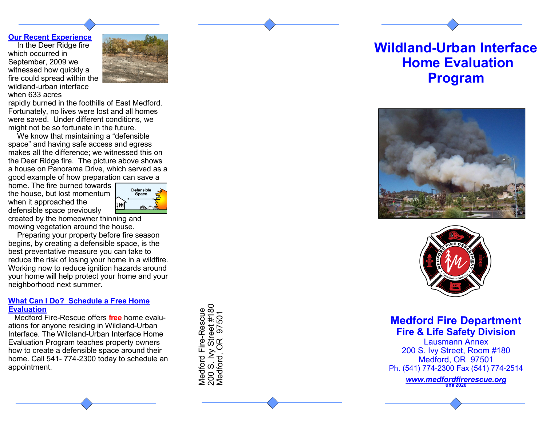## **Our Recent Experience**

In the Deer Ridge fire which occurred in September, 2009 we witnessed how quickly a fire could spread within the wildland -urban interface when 633 acres



rapidly burned in the foothills of East Medford. Fortunately, no lives were lost and all homes were saved. Under different conditions, we might not be so fortunate in the future.

We know that maintaining a "defensible space" and having safe access and egress makes all the difference; we witnessed this on the Deer Ridge fire. The picture above shows a house on Panorama Drive, which served as a good example of how preparation can save a

home. The fire burned towards the house, but lost momentum when it approached the defensible space previously



created by the homeowner thinning and mowing vegetation around the house.

Preparing your property before fire season begins, by creating a defensible space, is the best preventative measure you can take to reduce the risk of losing your home in a wildfire. Working now to reduce ignition hazards around your home will help protect your home and your neighborhood next summer.

# **What Can I Do? Schedule a Free Home Evaluation**

Medford Fire -Rescue offers **free** home evaluations for anyone residing in Wildland-Urban Interface. The Wildland -Urban Interface Home Evaluation Program teaches property owners how to create a defensible space around their home. Call 541 - 774 -2300 today to schedule an appointment.

Medford Fire-Rescue<br>200 S. Ivy Street #180<br>Medford, OR 97501

# **Wildland -Urban Interface Home Evaluation Program**





**Medford Fire Department Fire & Life Safety Division**

Lausmann Annex 200 S. Ivy Street, Room #180 Medford, OR 97501 Ph. (541) 774 -2300 Fax (541) 774 -2514 **une 2020**<br> **une 2020**<br> **u** alusmann /<br> **u** alusmann /<br> **u** alusmann /<br>
200 S. Ivy Street,<br>
200 S. Ivy Street,<br>
Medford, OR<br>
200 S. Ivy Street,<br>
Medford, OR<br>
200 S. Ivy Street,<br>
Medford, OR<br>
Ph. (541) 774-2300 Fa:<br>
<u>ww</u>

*[www.medfordfirerescue.org](http://www.medfordfirerescue.org)*